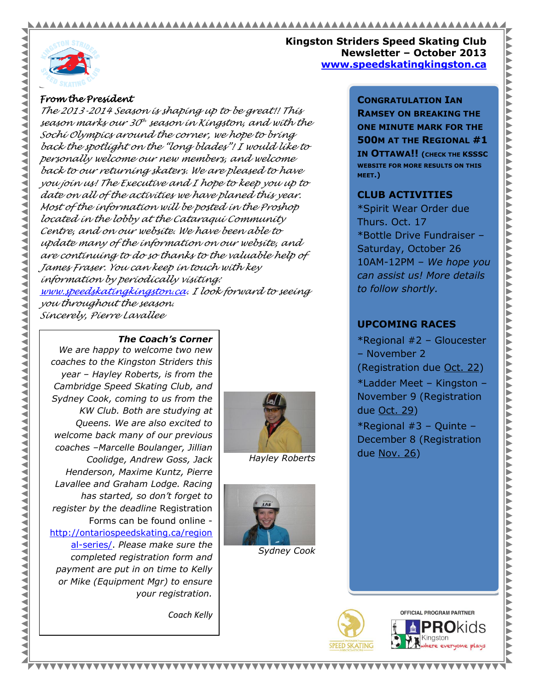#### AAAAAAAAAA AAAAAAAAAAAAAAA



**AAAA** 

**AAA** ∢ Ś  $\lhd$  $\blacktriangleleft$  $\blacktriangleleft$ 

**AAAAAAA** 

◀

◀

**Kingston Striders Speed Skating Club Newsletter – October 2013 www.speedskatingkingston.ca**

### *From the President*

*The 2013-2014 Season is shaping up to be great!! This season marks our 30 th season in Kingston, and with the Sochi Olympics around the corner, we hope to bring back the spotlight on the "long blades"! I would like to personally welcome our new members, and welcome back to our returning skaters. We are pleased to have you join us! The Executive and I hope to keep you up to date on all of the activities we have planed this year. Most of the information will be posted in the Proshop located in the lobby at the Cataraqui Community Centre, and on our website. We have been able to update many of the information on our website, and are continuing to do so thanks to the valuable help of James Fraser. You can keep in touch with key information by periodically visiting: [www.speedskatingkingston.ca.](http://www.speedskatingkingston.ca/) I look forward to seeing you throughout the season. Sincerely, Pierre Lavallee*

#### *The Coach's Corner*

*We are happy to welcome two new coaches to the Kingston Striders this year – Hayley Roberts, is from the Cambridge Speed Skating Club, and Sydney Cook, coming to us from the KW Club. Both are studying at Queens. We are also excited to welcome back many of our previous coaches –Marcelle Boulanger, Jillian Coolidge, Andrew Goss, Jack Henderson, Maxime Kuntz, Pierre Lavallee and Graham Lodge. Racing has started, so don't forget to register by the deadline* Registration Forms can be found online [http://ontariospeedskating.ca/region](http://ontariospeedskating.ca/regional-series/) [al-series/.](http://ontariospeedskating.ca/regional-series/) *Please make sure the completed registration form and payment are put in on time to Kelly or Mike (Equipment Mgr) to ensure your registration.*

*Coach Kelly*

*Hayley Roberts*



*Sydney Cook*

**CONGRATULATION IAN RAMSEY ON BREAKING THE ONE MINUTE MARK FOR THE 500M AT THE REGIONAL #1 IN OTTAWA!! (CHECK THE KSSSC WEBSITE FOR MORE RESULTS ON THIS MEET.)**

# **CLUB ACTIVITIES**

\*Spirit Wear Order due Thurs. Oct. 17 \*Bottle Drive Fundraiser – Saturday, October 26 10AM-12PM – *We hope you can assist us! More details to follow shortly.*

# **UPCOMING RACES**

\*Regional #2 – Gloucester – November 2 (Registration due Oct. 22) \*Ladder Meet – Kingston – November 9 (Registration due Oct. 29)

\*Regional #3 – Quinte – December 8 (Registration due Nov. 26)



<u> XXXXXXXXXXXX</u>